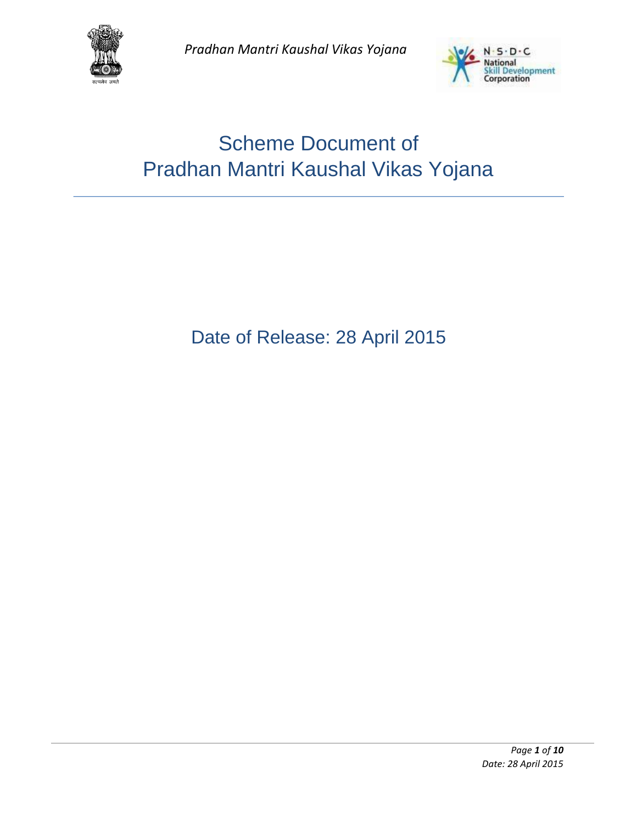



# Scheme Document of Pradhan Mantri Kaushal Vikas Yojana

## Date of Release: 28 April 2015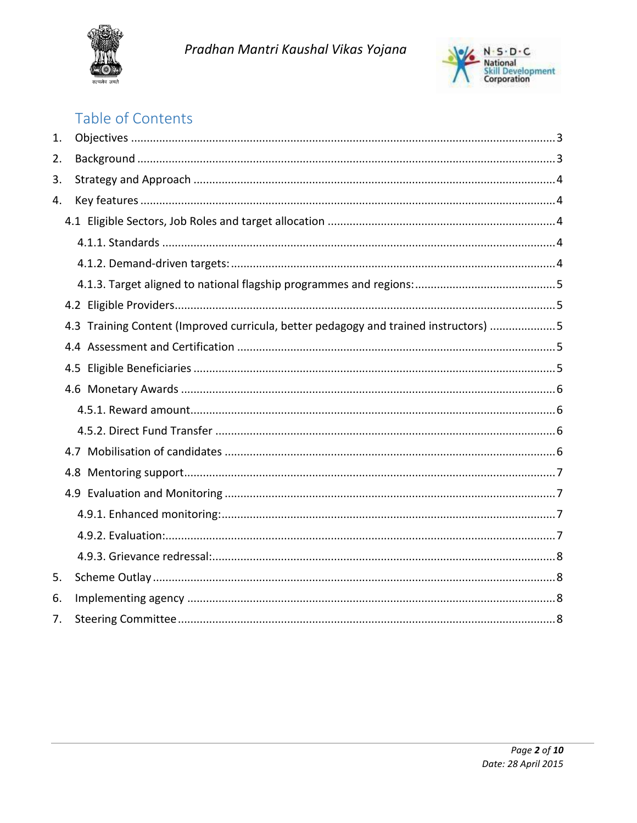



## Table of Contents

| 1. |                                                                                      |  |
|----|--------------------------------------------------------------------------------------|--|
| 2. |                                                                                      |  |
| 3. |                                                                                      |  |
| 4. |                                                                                      |  |
|    |                                                                                      |  |
|    |                                                                                      |  |
|    |                                                                                      |  |
|    |                                                                                      |  |
|    |                                                                                      |  |
|    | 4.3 Training Content (Improved curricula, better pedagogy and trained instructors) 5 |  |
|    |                                                                                      |  |
|    |                                                                                      |  |
|    |                                                                                      |  |
|    |                                                                                      |  |
|    |                                                                                      |  |
|    |                                                                                      |  |
|    |                                                                                      |  |
|    |                                                                                      |  |
|    |                                                                                      |  |
|    |                                                                                      |  |
|    |                                                                                      |  |
| 5. |                                                                                      |  |
| 6. |                                                                                      |  |
| 7. |                                                                                      |  |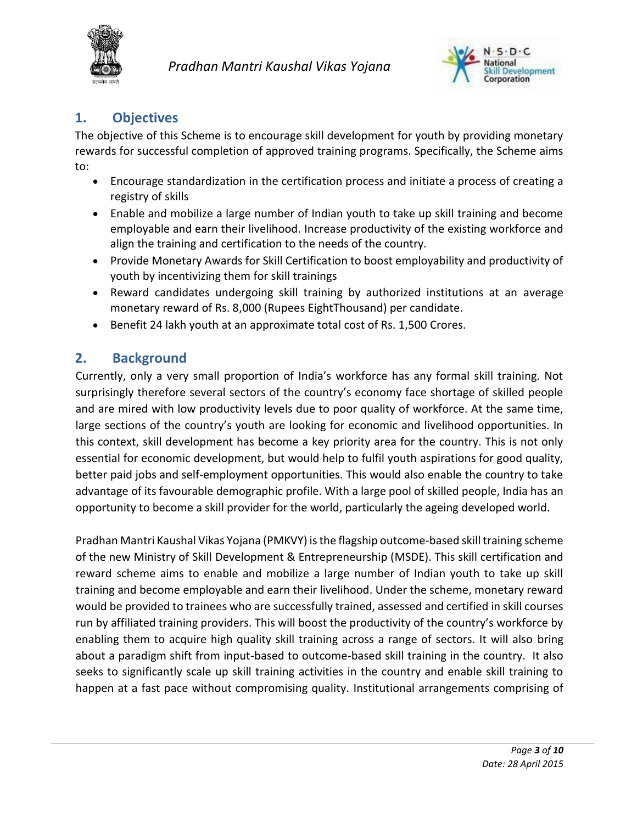



## <span id="page-2-0"></span>**1. Objectives**

The objective of this Scheme is to encourage skill development for youth by providing monetary rewards for successful completion of approved training programs. Specifically, the Scheme aims to:

- Encourage standardization in the certification process and initiate a process of creating a registry of skills
- Enable and mobilize a large number of Indian youth to take up skill training and become employable and earn their livelihood. Increase productivity of the existing workforce and align the training and certification to the needs of the country.
- Provide Monetary Awards for Skill Certification to boost employability and productivity of youth by incentivizing them for skill trainings
- Reward candidates undergoing skill training by authorized institutions at an average monetary reward of Rs. 8,000 (Rupees EightThousand) per candidate.
- Benefit 24 lakh youth at an approximate total cost of Rs. 1,500 Crores.

## <span id="page-2-1"></span>**2. Background**

Currently, only a very small proportion of India's workforce has any formal skill training. Not surprisingly therefore several sectors of the country's economy face shortage of skilled people and are mired with low productivity levels due to poor quality of workforce. At the same time, large sections of the country's youth are looking for economic and livelihood opportunities. In this context, skill development has become a key priority area for the country. This is not only essential for economic development, but would help to fulfil youth aspirations for good quality, better paid jobs and self-employment opportunities. This would also enable the country to take advantage of its favourable demographic profile. With a large pool of skilled people, India has an opportunity to become a skill provider for the world, particularly the ageing developed world.

Pradhan Mantri Kaushal Vikas Yojana (PMKVY) is the flagship outcome-based skill training scheme of the new Ministry of Skill Development & Entrepreneurship (MSDE). This skill certification and reward scheme aims to enable and mobilize a large number of Indian youth to take up skill training and become employable and earn their livelihood. Under the scheme, monetary reward would be provided to trainees who are successfully trained, assessed and certified in skill courses run by affiliated training providers. This will boost the productivity of the country's workforce by enabling them to acquire high quality skill training across a range of sectors. It will also bring about a paradigm shift from input-based to outcome-based skill training in the country. It also seeks to significantly scale up skill training activities in the country and enable skill training to happen at a fast pace without compromising quality. Institutional arrangements comprising of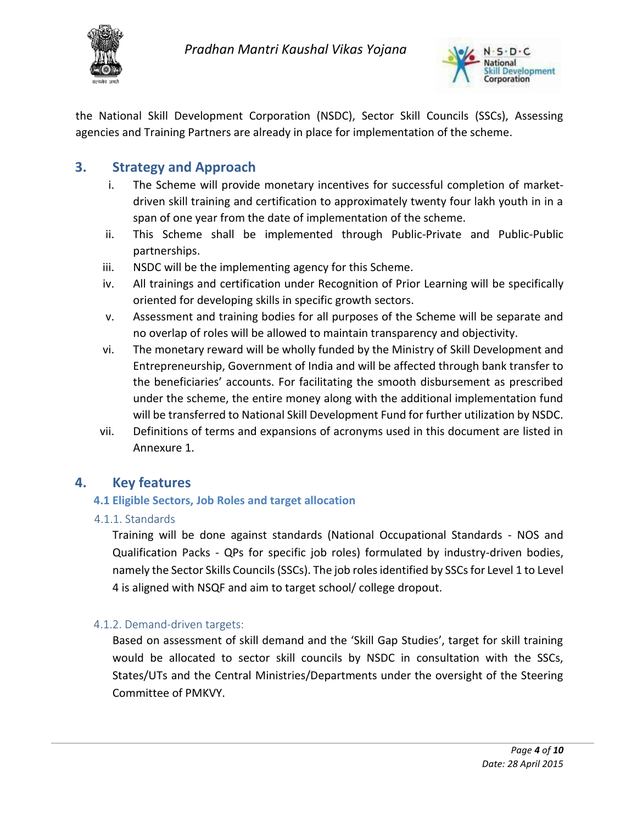



the National Skill Development Corporation (NSDC), Sector Skill Councils (SSCs), Assessing agencies and Training Partners are already in place for implementation of the scheme.

## <span id="page-3-0"></span>**3. Strategy and Approach**

- i. The Scheme will provide monetary incentives for successful completion of marketdriven skill training and certification to approximately twenty four lakh youth in in a span of one year from the date of implementation of the scheme.
- ii. This Scheme shall be implemented through Public-Private and Public-Public partnerships.
- iii. NSDC will be the implementing agency for this Scheme.
- iv. All trainings and certification under Recognition of Prior Learning will be specifically oriented for developing skills in specific growth sectors.
- v. Assessment and training bodies for all purposes of the Scheme will be separate and no overlap of roles will be allowed to maintain transparency and objectivity.
- vi. The monetary reward will be wholly funded by the Ministry of Skill Development and Entrepreneurship, Government of India and will be affected through bank transfer to the beneficiaries' accounts. For facilitating the smooth disbursement as prescribed under the scheme, the entire money along with the additional implementation fund will be transferred to National Skill Development Fund for further utilization by NSDC.
- vii. Definitions of terms and expansions of acronyms used in this document are listed in Annexure 1.

## <span id="page-3-2"></span><span id="page-3-1"></span>**4. Key features**

#### **4.1 Eligible Sectors, Job Roles and target allocation**

<span id="page-3-3"></span>4.1.1. Standards

Training will be done against standards (National Occupational Standards - NOS and Qualification Packs - QPs for specific job roles) formulated by industry-driven bodies, namely the Sector Skills Councils (SSCs). The job roles identified by SSCs for Level 1 to Level 4 is aligned with NSQF and aim to target school/ college dropout.

## <span id="page-3-4"></span>4.1.2. Demand-driven targets:

Based on assessment of skill demand and the 'Skill Gap Studies', target for skill training would be allocated to sector skill councils by NSDC in consultation with the SSCs, States/UTs and the Central Ministries/Departments under the oversight of the Steering Committee of PMKVY.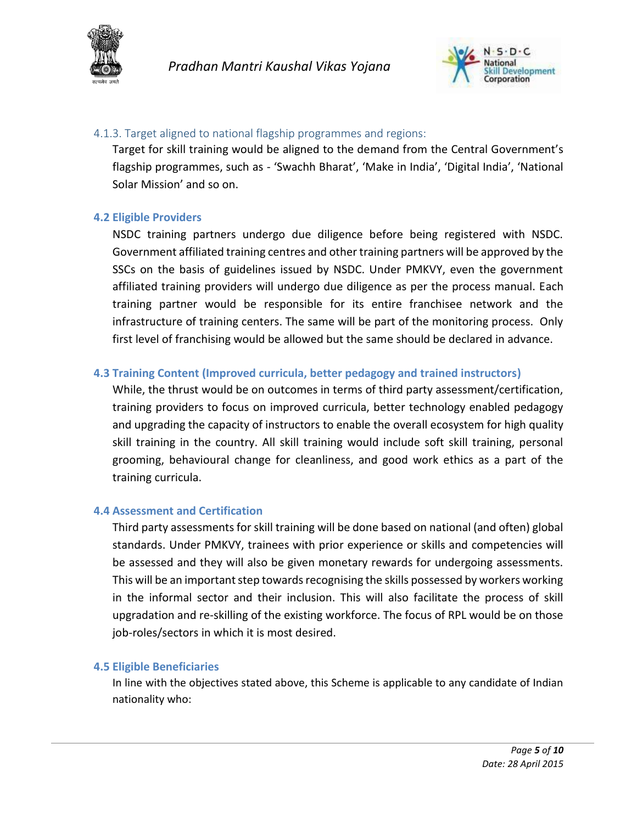



#### <span id="page-4-0"></span>4.1.3. Target aligned to national flagship programmes and regions:

Target for skill training would be aligned to the demand from the Central Government's flagship programmes, such as - 'Swachh Bharat', 'Make in India', 'Digital India', 'National Solar Mission' and so on.

#### <span id="page-4-1"></span>**4.2 Eligible Providers**

NSDC training partners undergo due diligence before being registered with NSDC. Government affiliated training centres and other training partners will be approved by the SSCs on the basis of guidelines issued by NSDC. Under PMKVY, even the government affiliated training providers will undergo due diligence as per the process manual. Each training partner would be responsible for its entire franchisee network and the infrastructure of training centers. The same will be part of the monitoring process. Only first level of franchising would be allowed but the same should be declared in advance.

#### <span id="page-4-2"></span>**4.3 Training Content (Improved curricula, better pedagogy and trained instructors)**

While, the thrust would be on outcomes in terms of third party assessment/certification, training providers to focus on improved curricula, better technology enabled pedagogy and upgrading the capacity of instructors to enable the overall ecosystem for high quality skill training in the country. All skill training would include soft skill training, personal grooming, behavioural change for cleanliness, and good work ethics as a part of the training curricula.

#### <span id="page-4-3"></span>**4.4 Assessment and Certification**

Third party assessments for skill training will be done based on national (and often) global standards. Under PMKVY, trainees with prior experience or skills and competencies will be assessed and they will also be given monetary rewards for undergoing assessments. This will be an important step towards recognising the skills possessed by workers working in the informal sector and their inclusion. This will also facilitate the process of skill upgradation and re-skilling of the existing workforce. The focus of RPL would be on those job-roles/sectors in which it is most desired.

#### <span id="page-4-4"></span>**4.5 Eligible Beneficiaries**

In line with the objectives stated above, this Scheme is applicable to any candidate of Indian nationality who: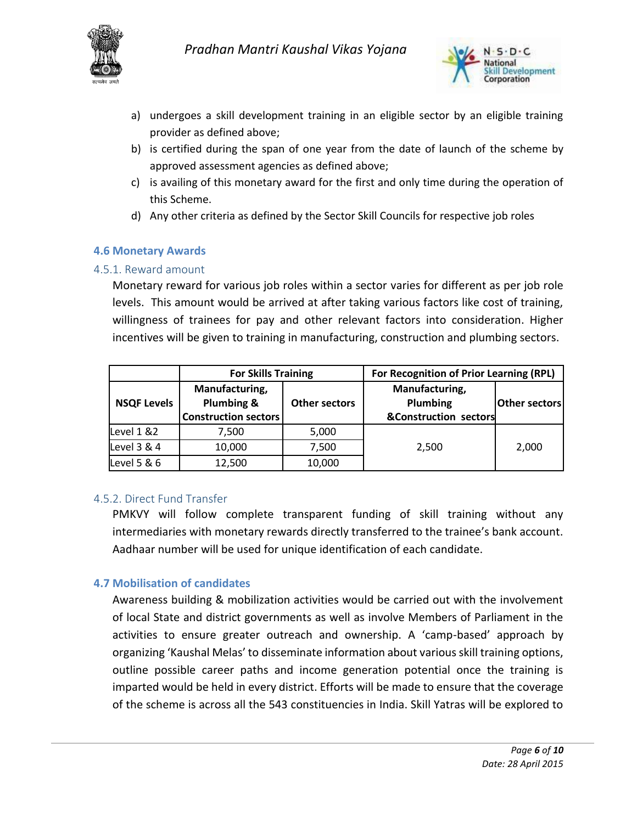



- a) undergoes a skill development training in an eligible sector by an eligible training provider as defined above;
- b) is certified during the span of one year from the date of launch of the scheme by approved assessment agencies as defined above;
- c) is availing of this monetary award for the first and only time during the operation of this Scheme.
- d) Any other criteria as defined by the Sector Skill Councils for respective job roles

#### <span id="page-5-0"></span>**4.6 Monetary Awards**

#### <span id="page-5-1"></span>4.5.1. Reward amount

Monetary reward for various job roles within a sector varies for different as per job role levels. This amount would be arrived at after taking various factors like cost of training, willingness of trainees for pay and other relevant factors into consideration. Higher incentives will be given to training in manufacturing, construction and plumbing sectors.

|                    | <b>For Skills Training</b>                                  |                      | For Recognition of Prior Learning (RPL)             |                      |
|--------------------|-------------------------------------------------------------|----------------------|-----------------------------------------------------|----------------------|
| <b>NSQF Levels</b> | Manufacturing,<br>Plumbing &<br><b>Construction sectors</b> | <b>Other sectors</b> | Manufacturing,<br>Plumbing<br>&Construction sectors | <b>Other sectors</b> |
| Level $1 & 82$     | 7,500                                                       | 5,000                |                                                     |                      |
| Level 3 & 4        | 10,000                                                      | 7,500                | 2,500                                               | 2,000                |
| Level 5 & 6        | 12,500                                                      | 10,000               |                                                     |                      |

#### <span id="page-5-2"></span>4.5.2. Direct Fund Transfer

PMKVY will follow complete transparent funding of skill training without any intermediaries with monetary rewards directly transferred to the trainee's bank account. Aadhaar number will be used for unique identification of each candidate.

#### <span id="page-5-3"></span>**4.7 Mobilisation of candidates**

Awareness building & mobilization activities would be carried out with the involvement of local State and district governments as well as involve Members of Parliament in the activities to ensure greater outreach and ownership. A 'camp-based' approach by organizing 'Kaushal Melas' to disseminate information about various skill training options, outline possible career paths and income generation potential once the training is imparted would be held in every district. Efforts will be made to ensure that the coverage of the scheme is across all the 543 constituencies in India. Skill Yatras will be explored to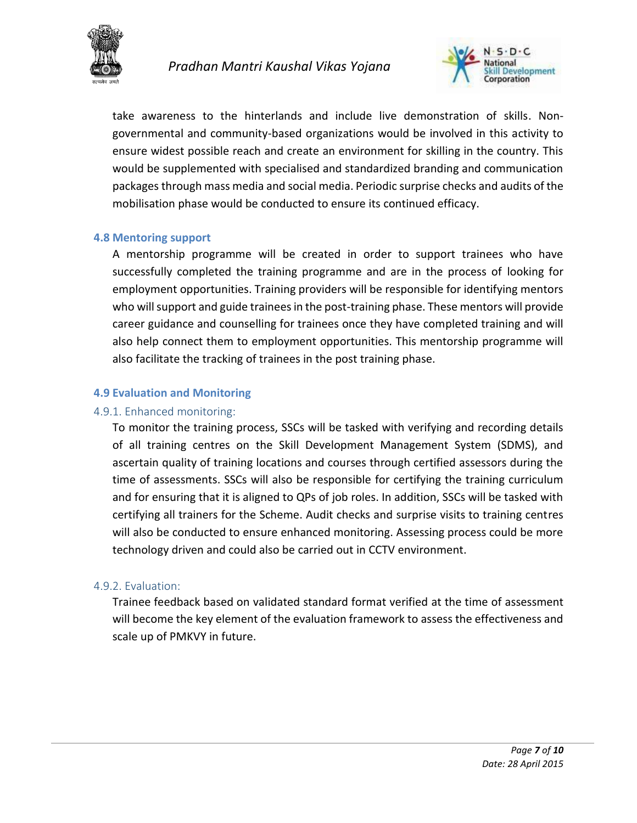



take awareness to the hinterlands and include live demonstration of skills. Nongovernmental and community-based organizations would be involved in this activity to ensure widest possible reach and create an environment for skilling in the country. This would be supplemented with specialised and standardized branding and communication packages through mass media and social media. Periodic surprise checks and audits of the mobilisation phase would be conducted to ensure its continued efficacy.

#### <span id="page-6-0"></span>**4.8 Mentoring support**

A mentorship programme will be created in order to support trainees who have successfully completed the training programme and are in the process of looking for employment opportunities. Training providers will be responsible for identifying mentors who will support and guide trainees in the post-training phase. These mentors will provide career guidance and counselling for trainees once they have completed training and will also help connect them to employment opportunities. This mentorship programme will also facilitate the tracking of trainees in the post training phase.

#### <span id="page-6-1"></span>**4.9 Evaluation and Monitoring**

#### <span id="page-6-2"></span>4.9.1. Enhanced monitoring:

To monitor the training process, SSCs will be tasked with verifying and recording details of all training centres on the Skill Development Management System (SDMS), and ascertain quality of training locations and courses through certified assessors during the time of assessments. SSCs will also be responsible for certifying the training curriculum and for ensuring that it is aligned to QPs of job roles. In addition, SSCs will be tasked with certifying all trainers for the Scheme. Audit checks and surprise visits to training centres will also be conducted to ensure enhanced monitoring. Assessing process could be more technology driven and could also be carried out in CCTV environment.

#### <span id="page-6-3"></span>4.9.2. Evaluation:

Trainee feedback based on validated standard format verified at the time of assessment will become the key element of the evaluation framework to assess the effectiveness and scale up of PMKVY in future.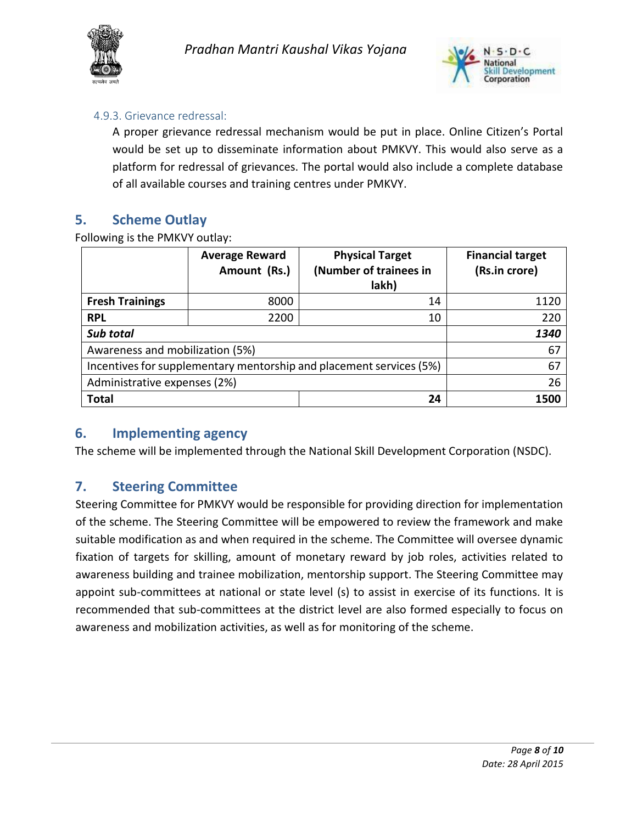



#### <span id="page-7-0"></span>4.9.3. Grievance redressal:

A proper grievance redressal mechanism would be put in place. Online Citizen's Portal would be set up to disseminate information about PMKVY. This would also serve as a platform for redressal of grievances. The portal would also include a complete database of all available courses and training centres under PMKVY.

## <span id="page-7-1"></span>**5. Scheme Outlay**

Following is the PMKVY outlay:

|                                                                     | <b>Average Reward</b><br>Amount (Rs.) | <b>Physical Target</b><br>(Number of trainees in<br>lakh) | <b>Financial target</b><br>(Rs.in crore) |
|---------------------------------------------------------------------|---------------------------------------|-----------------------------------------------------------|------------------------------------------|
| <b>Fresh Trainings</b>                                              | 8000                                  | 14                                                        | 1120                                     |
| <b>RPL</b>                                                          | 2200                                  | 10                                                        | 220                                      |
| Sub total                                                           | 1340                                  |                                                           |                                          |
| Awareness and mobilization (5%)                                     | 67                                    |                                                           |                                          |
| Incentives for supplementary mentorship and placement services (5%) | 67                                    |                                                           |                                          |
| Administrative expenses (2%)                                        | 26                                    |                                                           |                                          |
| <b>Total</b>                                                        |                                       | 24                                                        | 1500                                     |

## <span id="page-7-2"></span>**6. Implementing agency**

The scheme will be implemented through the National Skill Development Corporation (NSDC).

## <span id="page-7-3"></span>**7. Steering Committee**

Steering Committee for PMKVY would be responsible for providing direction for implementation of the scheme. The Steering Committee will be empowered to review the framework and make suitable modification as and when required in the scheme. The Committee will oversee dynamic fixation of targets for skilling, amount of monetary reward by job roles, activities related to awareness building and trainee mobilization, mentorship support. The Steering Committee may appoint sub-committees at national or state level (s) to assist in exercise of its functions. It is recommended that sub-committees at the district level are also formed especially to focus on awareness and mobilization activities, as well as for monitoring of the scheme.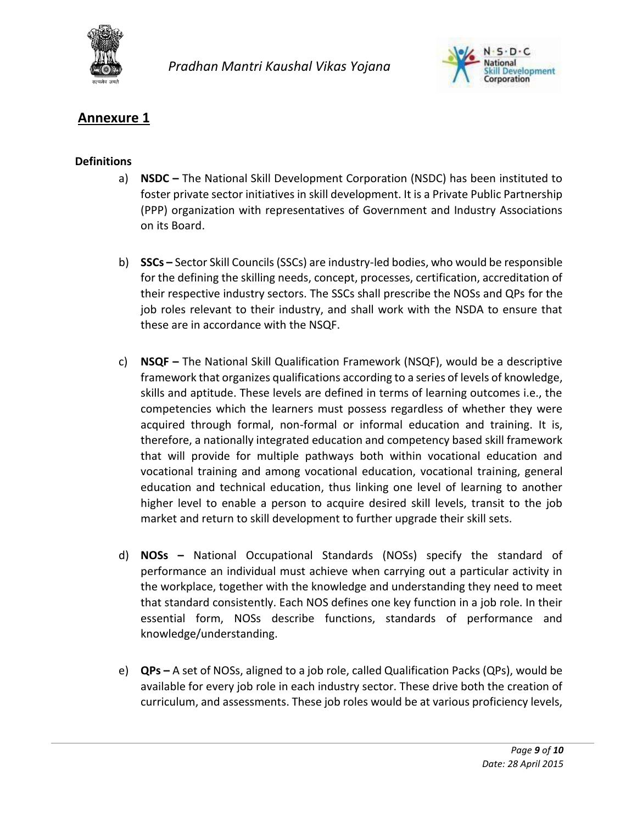



## **Annexure 1**

#### **Definitions**

- a) **NSDC –** The National Skill Development Corporation (NSDC) has been instituted to foster private sector initiatives in skill development. It is a Private Public Partnership (PPP) organization with representatives of Government and Industry Associations on its Board.
- b) **SSCs –** Sector Skill Councils (SSCs) are industry-led bodies, who would be responsible for the defining the skilling needs, concept, processes, certification, accreditation of their respective industry sectors. The SSCs shall prescribe the NOSs and QPs for the job roles relevant to their industry, and shall work with the NSDA to ensure that these are in accordance with the NSQF.
- c) **NSQF –** The National Skill Qualification Framework (NSQF), would be a descriptive framework that organizes qualifications according to a series of levels of knowledge, skills and aptitude. These levels are defined in terms of learning outcomes i.e., the competencies which the learners must possess regardless of whether they were acquired through formal, non-formal or informal education and training. It is, therefore, a nationally integrated education and competency based skill framework that will provide for multiple pathways both within vocational education and vocational training and among vocational education, vocational training, general education and technical education, thus linking one level of learning to another higher level to enable a person to acquire desired skill levels, transit to the job market and return to skill development to further upgrade their skill sets.
- d) **NOSs –** National Occupational Standards (NOSs) specify the standard of performance an individual must achieve when carrying out a particular activity in the workplace, together with the knowledge and understanding they need to meet that standard consistently. Each NOS defines one key function in a job role. In their essential form, NOSs describe functions, standards of performance and knowledge/understanding.
- e) **QPs –** A set of NOSs, aligned to a job role, called Qualification Packs (QPs), would be available for every job role in each industry sector. These drive both the creation of curriculum, and assessments. These job roles would be at various proficiency levels,